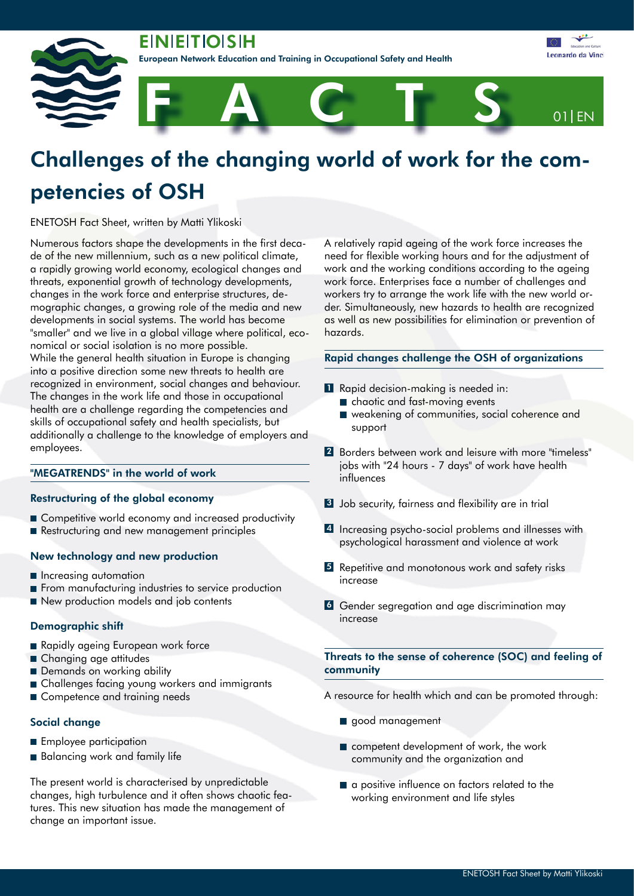**EINIEITIOISIH** 

ean Network Education and Training in Occupational Safety and Health



# Challenges of the changing world of work for the competencies of OSH

ENETOSH Fact Sheet, written by Matti Ylikoski

Numerous factors shape the developments in the first decade of the new millennium, such as a new political climate, a rapidly growing world economy, ecological changes and threats, exponential growth of technology developments, changes in the work force and enterprise structures, demographic changes, a growing role of the media and new developments in social systems. The world has become "smaller" and we live in a global village where political, economical or social isolation is no more possible. While the general health situation in Europe is changing into a positive direction some new threats to health are recognized in environment, social changes and behaviour. The changes in the work life and those in occupational health are a challenge regarding the competencies and skills of occupational safety and health specialists, but additionally a challenge to the knowledge of employers and employees.

## "MEGATRENDS" in the world of work

# Restructuring of the global economy

- Competitive world economy and increased productivity
- Restructuring and new management principles

#### New technology and new production

- **n** Increasing automation
- **From manufacturing industries to service production**
- New production models and job contents

# Demographic shift

- Rapidly ageing European work force
- Changing age attitudes
- Demands on working ability
- Challenges facing young workers and immigrants
- Competence and training needs

#### Social change

- **Employee participation**
- Balancing work and family life

The present world is characterised by unpredictable changes, high turbulence and it often shows chaotic features. This new situation has made the management of change an important issue.

A relatively rapid ageing of the work force increases the need for flexible working hours and for the adjustment of work and the working conditions according to the ageing work force. Enterprises face a number of challenges and workers try to arrange the work life with the new world order. Simultaneously, new hazards to health are recognized as well as new possibilities for elimination or prevention of hazards.

# Rapid changes challenge the OSH of organizations

- **1** Rapid decision-making is needed in:
	- chaotic and fast-moving events
	- weakening of communities, social coherence and support
- 2 Borders between work and leisure with more "timeless" jobs with "24 hours - 7 days" of work have health influences
- 3 Job security, fairness and flexibility are in trial
- 4 Increasing psycho-social problems and illnesses with psychological harassment and violence at work
- 5 Repetitive and monotonous work and safety risks increase
- **6** Gender segregation and age discrimination may increase

## Threats to the sense of coherence (SOC) and feeling of community

A resource for health which and can be promoted through:

- good management
- competent development of work, the work community and the organization and
- a positive influence on factors related to the working environment and life styles